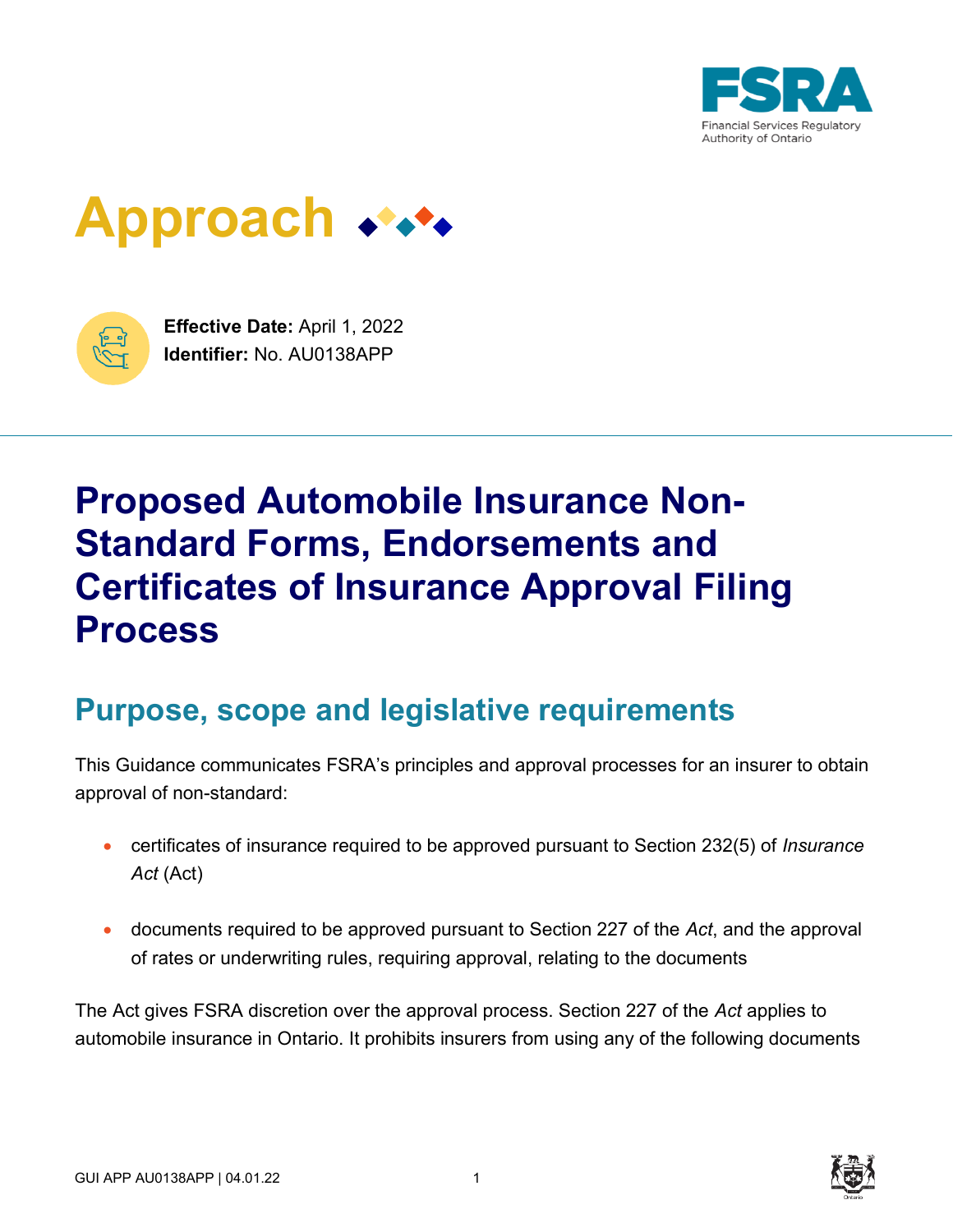

# **Approach**



**Effective Date:** April 1, 2022 **Identifier:** No. AU0138APP

## **Proposed Automobile Insurance Non-Standard Forms, Endorsements and Certificates of Insurance Approval Filing Process**

### **Purpose, scope and legislative requirements**

This Guidance communicates FSRA's principles and approval processes for an insurer to obtain approval of non-standard:

- certificates of insurance required to be approved pursuant to Section 232(5) of *Insurance Act* (Act)
- documents required to be approved pursuant to Section 227 of the *Act*, and the approval of rates or underwriting rules, requiring approval, relating to the documents

The Act gives FSRA discretion over the approval process. Section 227 of the *Act* applies to automobile insurance in Ontario. It prohibits insurers from using any of the following documents

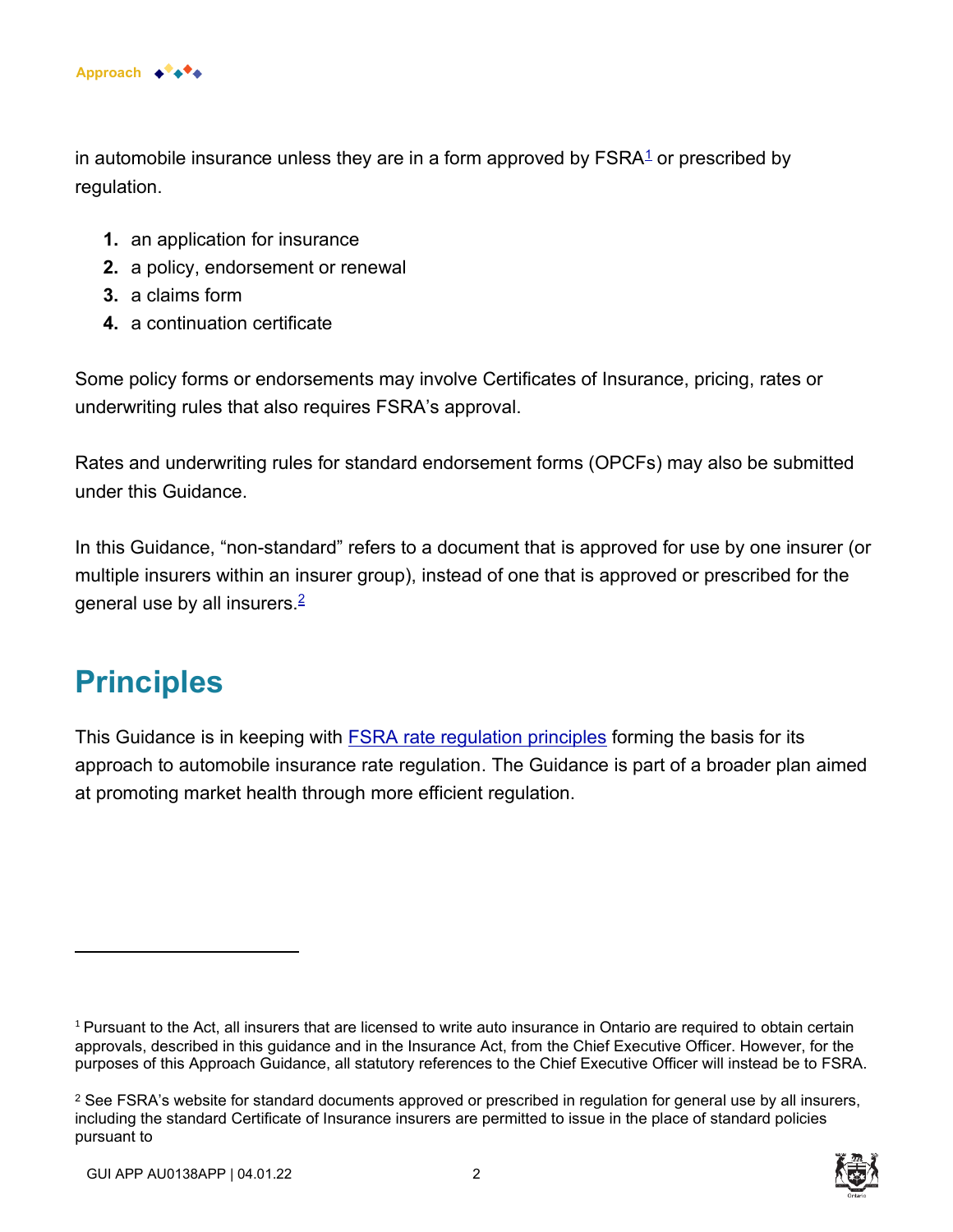

in automobile insurance unless they are in a form approved by  $\mathsf{FSRA}^1$  or prescribed by regulation.

- **1.** an application for insurance
- **2.** a policy, endorsement or renewal
- **3.** a claims form
- **4.** a continuation certificate

Some policy forms or endorsements may involve Certificates of Insurance, pricing, rates or underwriting rules that also requires FSRA's approval.

Rates and underwriting rules for standard endorsement forms (OPCFs) may also be submitted under this Guidance.

In this Guidance, "non-standard" refers to a document that is approved for use by one insurer (or multiple insurers within an insurer group), instead of one that is approved or prescribed for the general use by all insurers.<sup>2</sup>

### **Principles**

This Guidance is in keeping with [FSRA rate regulation principles](https://www.fsrao.ca/industry/auto-insurance/regulatory-framework/guidance-auto-insurance/standard-filing#appendix1) forming the basis for its approach to automobile insurance rate regulation. The Guidance is part of a broader plan aimed at promoting market health through more efficient regulation.

 $1$  Pursuant to the Act, all insurers that are licensed to write auto insurance in Ontario are required to obtain certain approvals, described in this guidance and in the Insurance Act, from the Chief Executive Officer. However, for the purposes of this Approach Guidance, all statutory references to the Chief Executive Officer will instead be to FSRA.

 $^2$  See FSRA's website for standard documents approved or prescribed in regulation for general use by all insurers, including the standard Certificate of Insurance insurers are permitted to issue in the place of standard policies pursuant to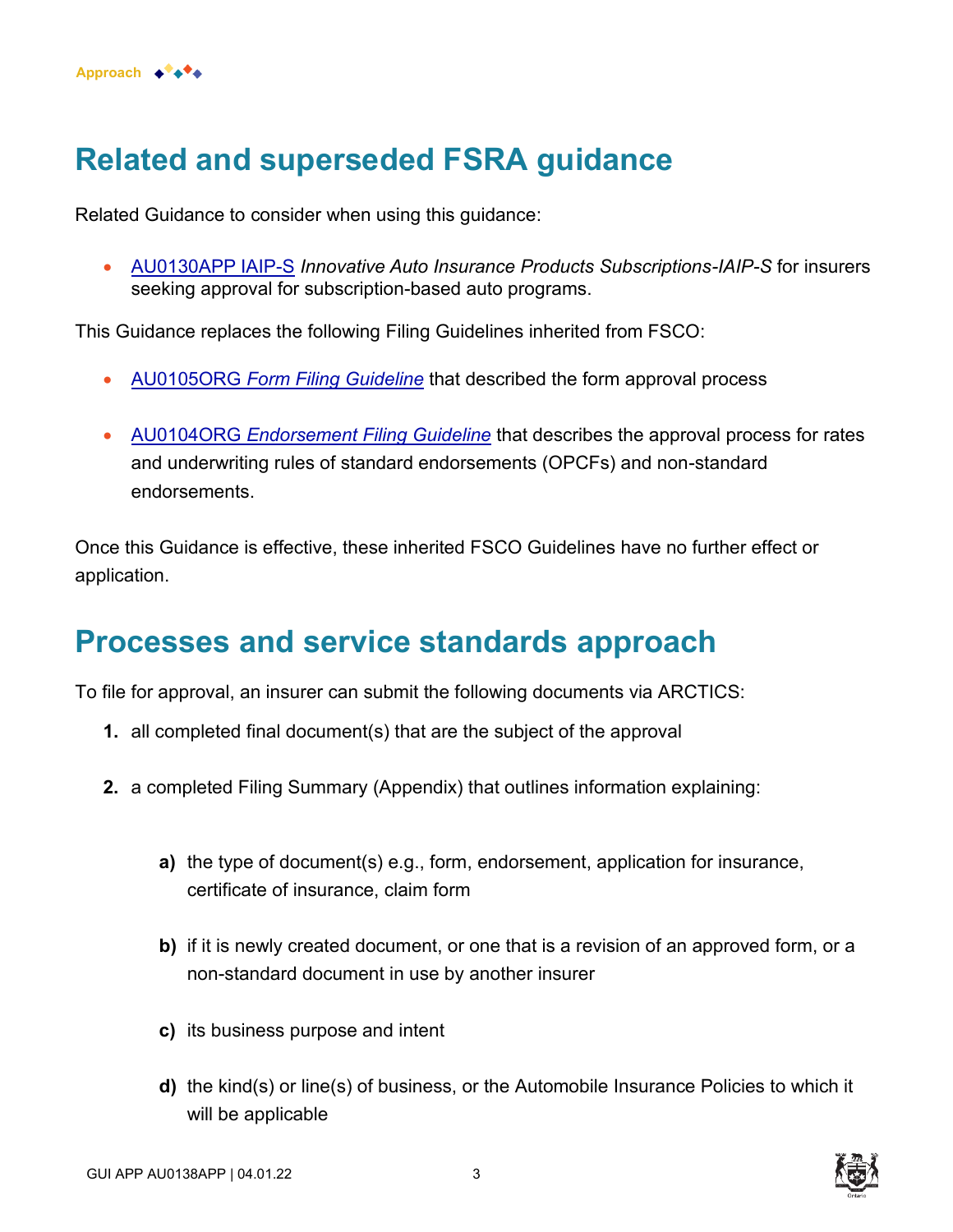

### **Related and superseded FSRA guidance**

Related Guidance to consider when using this guidance:

• [AU0130APP IAIP-S](https://www.fsrao.ca/industry/auto-insurance/regulatory-framework/guidance/innovative-auto-insurance-products-subscriptions-iaip-s) *Innovative Auto Insurance Products Subscriptions-IAIP-S* for insurers seeking approval for subscription-based auto programs.

This Guidance replaces the following Filing Guidelines inherited from FSCO:

- AU0105ORG *[Form Filing Guideline](https://www.fsco.gov.on.ca/en/auto/filing-guidelines/Pages/formsfiling.aspx)* that described the form approval process
- AU0104ORG *[Endorsement Filing Guideline](https://www.fsco.gov.on.ca/en/auto/filing-guidelines/Pages/endorsement-guidelines.aspx)* that describes the approval process for rates and underwriting rules of standard endorsements (OPCFs) and non-standard endorsements.

Once this Guidance is effective, these inherited FSCO Guidelines have no further effect or application.

### **Processes and service standards approach**

To file for approval, an insurer can submit the following documents via ARCTICS:

- **1.** all completed final document(s) that are the subject of the approval
- **2.** a completed Filing Summary (Appendix) that outlines information explaining:
	- **a)** the type of document(s) e.g., form, endorsement, application for insurance, certificate of insurance, claim form
	- **b)** if it is newly created document, or one that is a revision of an approved form, or a non-standard document in use by another insurer
	- **c)** its business purpose and intent
	- **d)** the kind(s) or line(s) of business, or the Automobile Insurance Policies to which it will be applicable



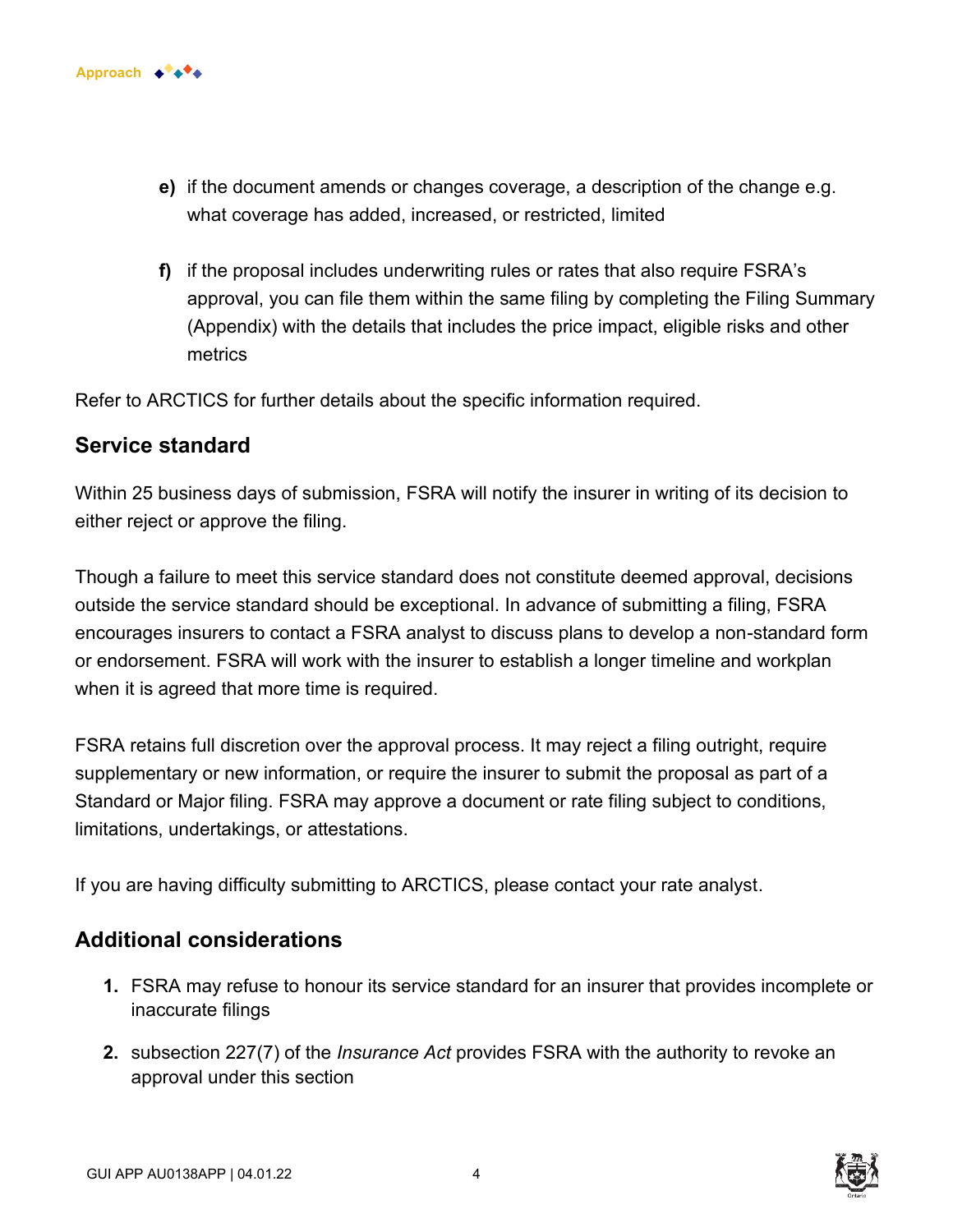

- **e)** if the document amends or changes coverage, a description of the change e.g. what coverage has added, increased, or restricted, limited
- **f)** if the proposal includes underwriting rules or rates that also require FSRA's approval, you can file them within the same filing by completing the Filing Summary (Appendix) with the details that includes the price impact, eligible risks and other metrics

Refer to ARCTICS for further details about the specific information required.

#### **Service standard**

Within 25 business days of submission, FSRA will notify the insurer in writing of its decision to either reject or approve the filing.

Though a failure to meet this service standard does not constitute deemed approval, decisions outside the service standard should be exceptional. In advance of submitting a filing, FSRA encourages insurers to contact a FSRA analyst to discuss plans to develop a non-standard form or endorsement. FSRA will work with the insurer to establish a longer timeline and workplan when it is agreed that more time is required.

FSRA retains full discretion over the approval process. It may reject a filing outright, require supplementary or new information, or require the insurer to submit the proposal as part of a Standard or Major filing. FSRA may approve a document or rate filing subject to conditions, limitations, undertakings, or attestations.

If you are having difficulty submitting to ARCTICS, please contact your rate analyst.

#### **Additional considerations**

- **1.** FSRA may refuse to honour its service standard for an insurer that provides incomplete or inaccurate filings
- **2.** subsection 227(7) of the *Insurance Act* provides FSRA with the authority to revoke an approval under this section



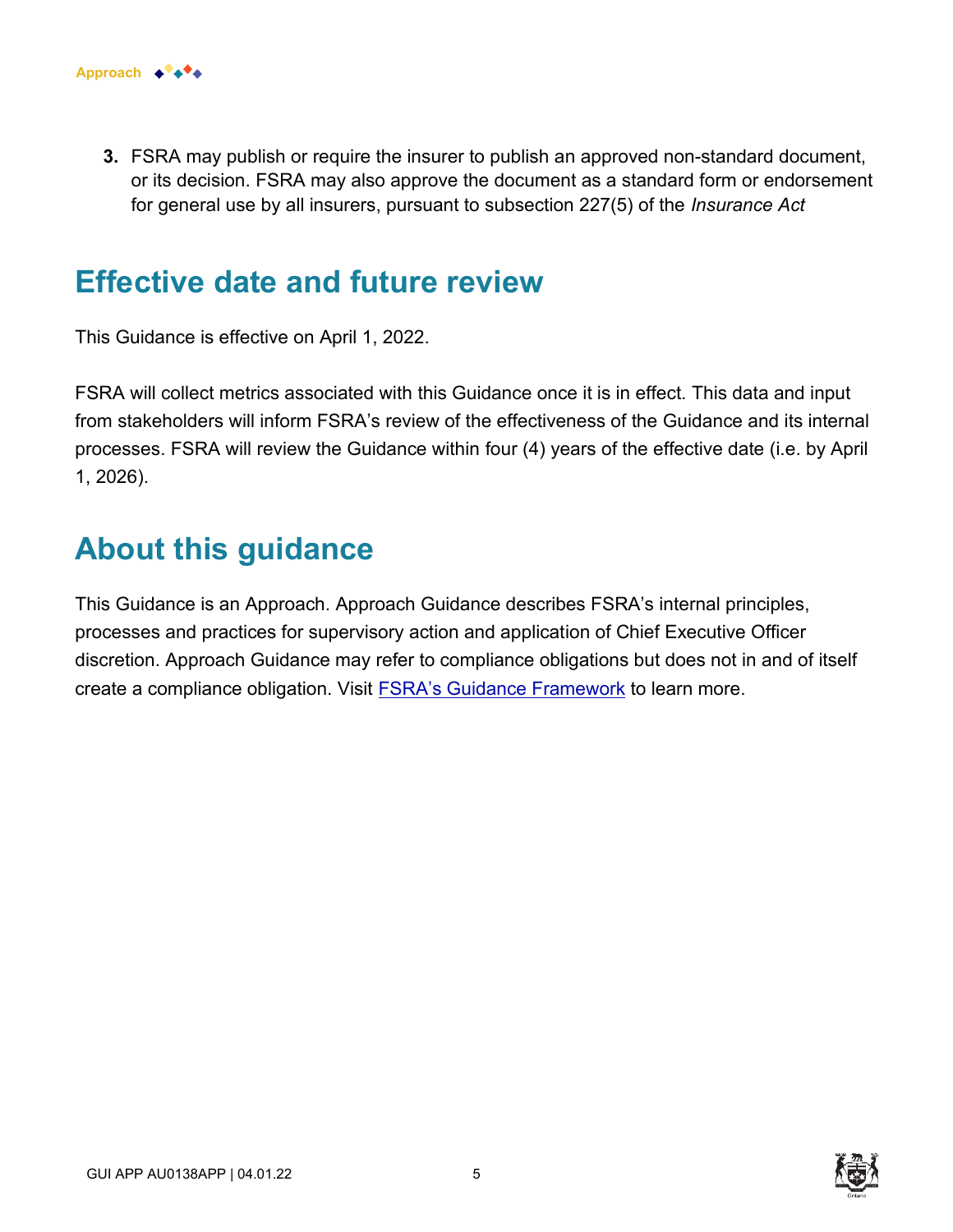

**3.** FSRA may publish or require the insurer to publish an approved non-standard document, or its decision. FSRA may also approve the document as a standard form or endorsement for general use by all insurers, pursuant to subsection 227(5) of the *Insurance Act*

### **Effective date and future review**

This Guidance is effective on April 1, 2022.

FSRA will collect metrics associated with this Guidance once it is in effect. This data and input from stakeholders will inform FSRA's review of the effectiveness of the Guidance and its internal processes. FSRA will review the Guidance within four (4) years of the effective date (i.e. by April 1, 2026).

### **About this guidance**

This Guidance is an Approach. Approach Guidance describes FSRA's internal principles, processes and practices for supervisory action and application of Chief Executive Officer discretion. Approach Guidance may refer to compliance obligations but does not in and of itself create a compliance obligation. Visit **FSRA's Guidance Framework** to learn more.